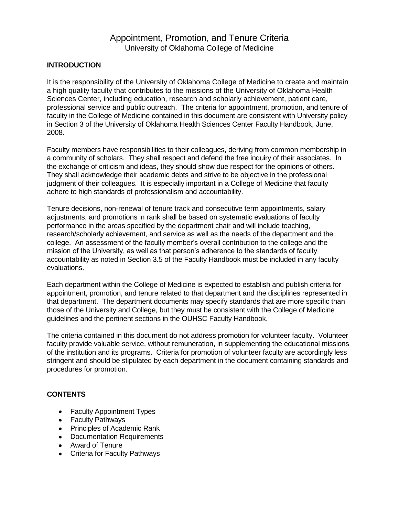# Appointment, Promotion, and Tenure Criteria University of Oklahoma College of Medicine

## **INTRODUCTION**

It is the responsibility of the University of Oklahoma College of Medicine to create and maintain a high quality faculty that contributes to the missions of the University of Oklahoma Health Sciences Center, including education, research and scholarly achievement, patient care, professional service and public outreach. The criteria for appointment, promotion, and tenure of faculty in the College of Medicine contained in this document are consistent with University policy in Section 3 of the University of Oklahoma Health Sciences Center Faculty Handbook, June, 2008.

Faculty members have responsibilities to their colleagues, deriving from common membership in a community of scholars. They shall respect and defend the free inquiry of their associates. In the exchange of criticism and ideas, they should show due respect for the opinions of others. They shall acknowledge their academic debts and strive to be objective in the professional judgment of their colleagues. It is especially important in a College of Medicine that faculty adhere to high standards of professionalism and accountability.

Tenure decisions, non-renewal of tenure track and consecutive term appointments, salary adjustments, and promotions in rank shall be based on systematic evaluations of faculty performance in the areas specified by the department chair and will include teaching, research/scholarly achievement, and service as well as the needs of the department and the college. An assessment of the faculty member's overall contribution to the college and the mission of the University, as well as that person's adherence to the standards of faculty accountability as noted in Section 3.5 of the Faculty Handbook must be included in any faculty evaluations.

Each department within the College of Medicine is expected to establish and publish criteria for appointment, promotion, and tenure related to that department and the disciplines represented in that department. The department documents may specify standards that are more specific than those of the University and College, but they must be consistent with the College of Medicine guidelines and the pertinent sections in the OUHSC Faculty Handbook.

The criteria contained in this document do not address promotion for volunteer faculty. Volunteer faculty provide valuable service, without remuneration, in supplementing the educational missions of the institution and its programs. Criteria for promotion of volunteer faculty are accordingly less stringent and should be stipulated by each department in the document containing standards and procedures for promotion.

# **CONTENTS**

- Faculty Appointment Types
- Faculty Pathways
- Principles of Academic Rank
- Documentation Requirements
- Award of Tenure
- Criteria for Faculty Pathways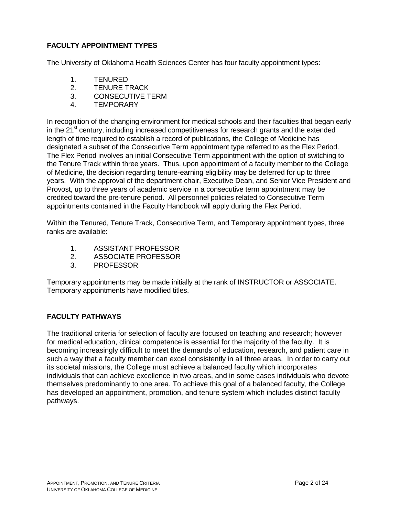# **FACULTY APPOINTMENT TYPES**

The University of Oklahoma Health Sciences Center has four faculty appointment types:

- 1. TENURED
- 2. TENURE TRACK
- 3. CONSECUTIVE TERM
- 4. TEMPORARY

In recognition of the changing environment for medical schools and their faculties that began early in the  $21<sup>st</sup>$  century, including increased competitiveness for research grants and the extended length of time required to establish a record of publications, the College of Medicine has designated a subset of the Consecutive Term appointment type referred to as the Flex Period. The Flex Period involves an initial Consecutive Term appointment with the option of switching to the Tenure Track within three years. Thus, upon appointment of a faculty member to the College of Medicine, the decision regarding tenure-earning eligibility may be deferred for up to three years. With the approval of the department chair, Executive Dean, and Senior Vice President and Provost, up to three years of academic service in a consecutive term appointment may be credited toward the pre-tenure period. All personnel policies related to Consecutive Term appointments contained in the Faculty Handbook will apply during the Flex Period.

Within the Tenured, Tenure Track, Consecutive Term, and Temporary appointment types, three ranks are available:

- 1. ASSISTANT PROFESSOR
- 2. ASSOCIATE PROFESSOR
- 3. PROFESSOR

Temporary appointments may be made initially at the rank of INSTRUCTOR or ASSOCIATE. Temporary appointments have modified titles.

# **FACULTY PATHWAYS**

The traditional criteria for selection of faculty are focused on teaching and research; however for medical education, clinical competence is essential for the majority of the faculty. It is becoming increasingly difficult to meet the demands of education, research, and patient care in such a way that a faculty member can excel consistently in all three areas. In order to carry out its societal missions, the College must achieve a balanced faculty which incorporates individuals that can achieve excellence in two areas, and in some cases individuals who devote themselves predominantly to one area. To achieve this goal of a balanced faculty, the College has developed an appointment, promotion, and tenure system which includes distinct faculty pathways.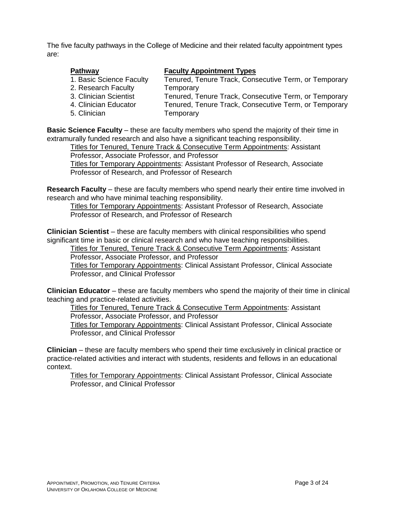The five faculty pathways in the College of Medicine and their related faculty appointment types are:

#### **Pathway Faculty Appointment Types**

1. Basic Science Faculty Tenured, Tenure Track, Consecutive Term, or Temporary 2. Research Faculty Temporary 3. Clinician Scientist Tenured, Tenure Track, Consecutive Term, or Temporary 4. Clinician Educator **Tenured, Tenure Track, Consecutive Term, or Temporary** 5. Clinician Temporary

**Basic Science Faculty** – these are faculty members who spend the majority of their time in extramurally funded research and also have a significant teaching responsibility.

Titles for Tenured, Tenure Track & Consecutive Term Appointments: Assistant Professor, Associate Professor, and Professor

Titles for Temporary Appointments: Assistant Professor of Research, Associate Professor of Research, and Professor of Research

**Research Faculty** – these are faculty members who spend nearly their entire time involved in research and who have minimal teaching responsibility.

Titles for Temporary Appointments: Assistant Professor of Research, Associate Professor of Research, and Professor of Research

**Clinician Scientist** – these are faculty members with clinical responsibilities who spend significant time in basic or clinical research and who have teaching responsibilities.

Titles for Tenured, Tenure Track & Consecutive Term Appointments: Assistant Professor, Associate Professor, and Professor

Titles for Temporary Appointments: Clinical Assistant Professor, Clinical Associate Professor, and Clinical Professor

**Clinician Educator** – these are faculty members who spend the majority of their time in clinical teaching and practice-related activities.

Titles for Tenured, Tenure Track & Consecutive Term Appointments: Assistant Professor, Associate Professor, and Professor

Titles for Temporary Appointments: Clinical Assistant Professor, Clinical Associate Professor, and Clinical Professor

**Clinician** – these are faculty members who spend their time exclusively in clinical practice or practice-related activities and interact with students, residents and fellows in an educational context.

Titles for Temporary Appointments: Clinical Assistant Professor, Clinical Associate Professor, and Clinical Professor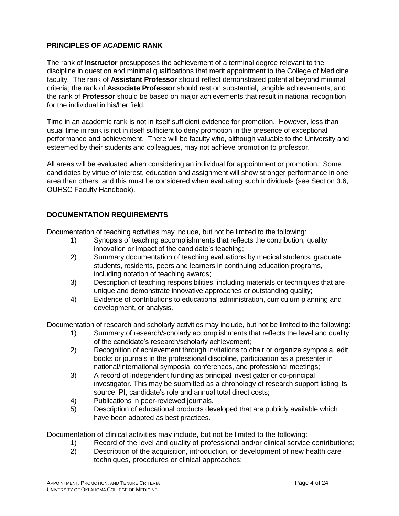## **PRINCIPLES OF ACADEMIC RANK**

The rank of **Instructor** presupposes the achievement of a terminal degree relevant to the discipline in question and minimal qualifications that merit appointment to the College of Medicine faculty. The rank of **Assistant Professor** should reflect demonstrated potential beyond minimal criteria; the rank of **Associate Professor** should rest on substantial, tangible achievements; and the rank of **Professor** should be based on major achievements that result in national recognition for the individual in his/her field.

Time in an academic rank is not in itself sufficient evidence for promotion. However, less than usual time in rank is not in itself sufficient to deny promotion in the presence of exceptional performance and achievement. There will be faculty who, although valuable to the University and esteemed by their students and colleagues, may not achieve promotion to professor.

All areas will be evaluated when considering an individual for appointment or promotion. Some candidates by virtue of interest, education and assignment will show stronger performance in one area than others, and this must be considered when evaluating such individuals (see Section 3.6, OUHSC Faculty Handbook).

# **DOCUMENTATION REQUIREMENTS**

Documentation of teaching activities may include, but not be limited to the following:

- 1) Synopsis of teaching accomplishments that reflects the contribution, quality, innovation or impact of the candidate's teaching;
- 2) Summary documentation of teaching evaluations by medical students, graduate students, residents, peers and learners in continuing education programs, including notation of teaching awards;
- 3) Description of teaching responsibilities, including materials or techniques that are unique and demonstrate innovative approaches or outstanding quality;
- 4) Evidence of contributions to educational administration, curriculum planning and development, or analysis.

Documentation of research and scholarly activities may include, but not be limited to the following:

- 1) Summary of research/scholarly accomplishments that reflects the level and quality of the candidate's research/scholarly achievement;
- 2) Recognition of achievement through invitations to chair or organize symposia, edit books or journals in the professional discipline, participation as a presenter in national/international symposia, conferences, and professional meetings;
- 3) A record of independent funding as principal investigator or co-principal investigator. This may be submitted as a chronology of research support listing its source, PI, candidate's role and annual total direct costs;
- 4) Publications in peer-reviewed journals.
- 5) Description of educational products developed that are publicly available which have been adopted as best practices.

Documentation of clinical activities may include, but not be limited to the following:

- 1) Record of the level and quality of professional and/or clinical service contributions;
- 2) Description of the acquisition, introduction, or development of new health care techniques, procedures or clinical approaches;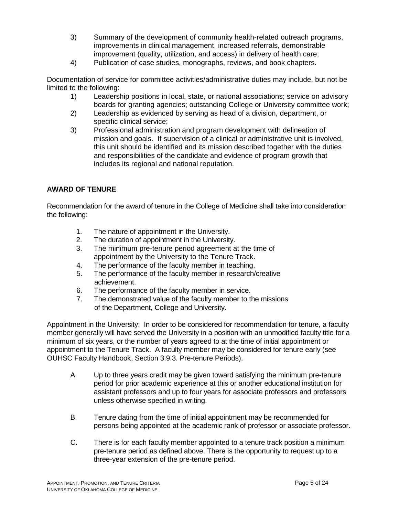- 3) Summary of the development of community health-related outreach programs, improvements in clinical management, increased referrals, demonstrable improvement (quality, utilization, and access) in delivery of health care;
- 4) Publication of case studies, monographs, reviews, and book chapters.

Documentation of service for committee activities/administrative duties may include, but not be limited to the following:

- 1) Leadership positions in local, state, or national associations; service on advisory boards for granting agencies; outstanding College or University committee work;
- 2) Leadership as evidenced by serving as head of a division, department, or specific clinical service;
- 3) Professional administration and program development with delineation of mission and goals. If supervision of a clinical or administrative unit is involved, this unit should be identified and its mission described together with the duties and responsibilities of the candidate and evidence of program growth that includes its regional and national reputation.

## **AWARD OF TENURE**

Recommendation for the award of tenure in the College of Medicine shall take into consideration the following:

- 1. The nature of appointment in the University.
- 2. The duration of appointment in the University.
- 3. The minimum pre-tenure period agreement at the time of appointment by the University to the Tenure Track.
- 4. The performance of the faculty member in teaching.
- 5. The performance of the faculty member in research/creative achievement.
- 6. The performance of the faculty member in service.
- 7. The demonstrated value of the faculty member to the missions of the Department, College and University.

Appointment in the University: In order to be considered for recommendation for tenure, a faculty member generally will have served the University in a position with an unmodified faculty title for a minimum of six years, or the number of years agreed to at the time of initial appointment or appointment to the Tenure Track. A faculty member may be considered for tenure early (see OUHSC Faculty Handbook, Section 3.9.3. Pre-tenure Periods).

- A. Up to three years credit may be given toward satisfying the minimum pre-tenure period for prior academic experience at this or another educational institution for assistant professors and up to four years for associate professors and professors unless otherwise specified in writing.
- B. Tenure dating from the time of initial appointment may be recommended for persons being appointed at the academic rank of professor or associate professor.
- C. There is for each faculty member appointed to a tenure track position a minimum pre-tenure period as defined above. There is the opportunity to request up to a three-year extension of the pre-tenure period.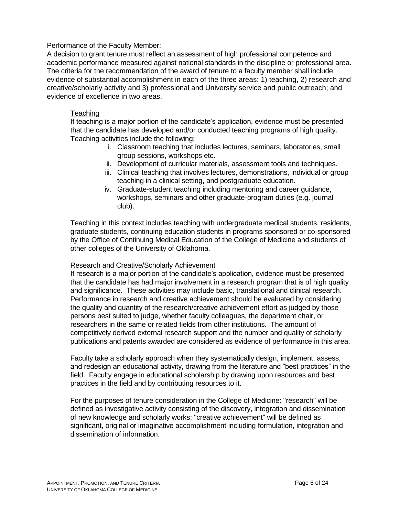## Performance of the Faculty Member:

A decision to grant tenure must reflect an assessment of high professional competence and academic performance measured against national standards in the discipline or professional area. The criteria for the recommendation of the award of tenure to a faculty member shall include evidence of substantial accomplishment in each of the three areas: 1) teaching, 2) research and creative/scholarly activity and 3) professional and University service and public outreach; and evidence of excellence in two areas.

#### Teaching

If teaching is a major portion of the candidate's application, evidence must be presented that the candidate has developed and/or conducted teaching programs of high quality. Teaching activities include the following:

- i. Classroom teaching that includes lectures, seminars, laboratories, small group sessions, workshops etc.
- ii. Development of curricular materials, assessment tools and techniques.
- iii. Clinical teaching that involves lectures, demonstrations, individual or group teaching in a clinical setting, and postgraduate education.
- iv. Graduate-student teaching including mentoring and career guidance, workshops, seminars and other graduate-program duties (e.g. journal club).

Teaching in this context includes teaching with undergraduate medical students, residents, graduate students, continuing education students in programs sponsored or co-sponsored by the Office of Continuing Medical Education of the College of Medicine and students of other colleges of the University of Oklahoma.

#### Research and Creative/Scholarly Achievement

If research is a major portion of the candidate's application, evidence must be presented that the candidate has had major involvement in a research program that is of high quality and significance. These activities may include basic, translational and clinical research. Performance in research and creative achievement should be evaluated by considering the quality and quantity of the research/creative achievement effort as judged by those persons best suited to judge, whether faculty colleagues, the department chair, or researchers in the same or related fields from other institutions. The amount of competitively derived external research support and the number and quality of scholarly publications and patents awarded are considered as evidence of performance in this area.

Faculty take a scholarly approach when they systematically design, implement, assess, and redesign an educational activity, drawing from the literature and "best practices" in the field. Faculty engage in educational scholarship by drawing upon resources and best practices in the field and by contributing resources to it.

For the purposes of tenure consideration in the College of Medicine: "research" will be defined as investigative activity consisting of the discovery, integration and dissemination of new knowledge and scholarly works; "creative achievement" will be defined as significant, original or imaginative accomplishment including formulation, integration and dissemination of information.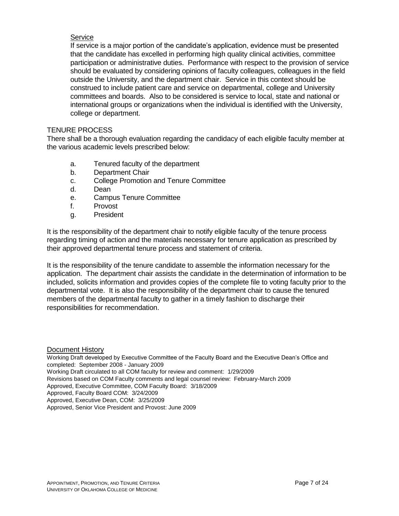## **Service**

If service is a major portion of the candidate's application, evidence must be presented that the candidate has excelled in performing high quality clinical activities, committee participation or administrative duties. Performance with respect to the provision of service should be evaluated by considering opinions of faculty colleagues, colleagues in the field outside the University, and the department chair. Service in this context should be construed to include patient care and service on departmental, college and University committees and boards. Also to be considered is service to local, state and national or international groups or organizations when the individual is identified with the University, college or department.

#### TENURE PROCESS

There shall be a thorough evaluation regarding the candidacy of each eligible faculty member at the various academic levels prescribed below:

- a. Tenured faculty of the department
- b. Department Chair
- c. College Promotion and Tenure Committee
- d. Dean
- e. Campus Tenure Committee
- f. Provost
- g. President

It is the responsibility of the department chair to notify eligible faculty of the tenure process regarding timing of action and the materials necessary for tenure application as prescribed by their approved departmental tenure process and statement of criteria.

It is the responsibility of the tenure candidate to assemble the information necessary for the application. The department chair assists the candidate in the determination of information to be included, solicits information and provides copies of the complete file to voting faculty prior to the departmental vote. It is also the responsibility of the department chair to cause the tenured members of the departmental faculty to gather in a timely fashion to discharge their responsibilities for recommendation.

#### Document History

Working Draft developed by Executive Committee of the Faculty Board and the Executive Dean's Office and completed: September 2008 - January 2009 Working Draft circulated to all COM faculty for review and comment: 1/29/2009 Revisions based on COM Faculty comments and legal counsel review: February-March 2009 Approved, Executive Committee, COM Faculty Board: 3/18/2009 Approved, Faculty Board COM: 3/24/2009 Approved, Executive Dean, COM: 3/25/2009 Approved, Senior Vice President and Provost: June 2009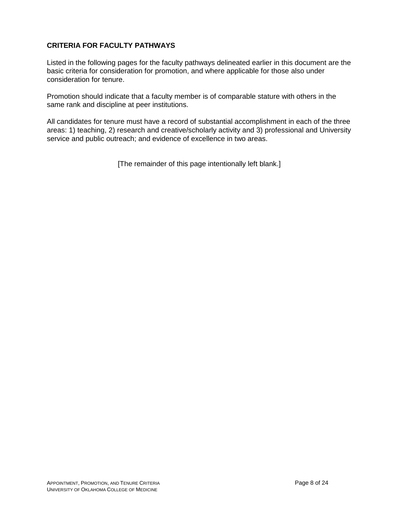## **CRITERIA FOR FACULTY PATHWAYS**

Listed in the following pages for the faculty pathways delineated earlier in this document are the basic criteria for consideration for promotion, and where applicable for those also under consideration for tenure.

Promotion should indicate that a faculty member is of comparable stature with others in the same rank and discipline at peer institutions.

All candidates for tenure must have a record of substantial accomplishment in each of the three areas: 1) teaching, 2) research and creative/scholarly activity and 3) professional and University service and public outreach; and evidence of excellence in two areas.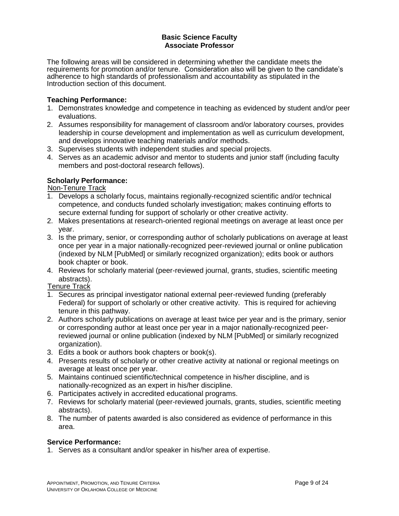#### **Basic Science Faculty Associate Professor**

The following areas will be considered in determining whether the candidate meets the requirements for promotion and/or tenure. Consideration also will be given to the candidate's adherence to high standards of professionalism and accountability as stipulated in the Introduction section of this document.

## **Teaching Performance:**

- 1. Demonstrates knowledge and competence in teaching as evidenced by student and/or peer evaluations.
- 2. Assumes responsibility for management of classroom and/or laboratory courses, provides leadership in course development and implementation as well as curriculum development, and develops innovative teaching materials and/or methods.
- 3. Supervises students with independent studies and special projects.
- 4. Serves as an academic advisor and mentor to students and junior staff (including faculty members and post-doctoral research fellows).

## **Scholarly Performance:**

Non-Tenure Track

- 1. Develops a scholarly focus, maintains regionally-recognized scientific and/or technical competence, and conducts funded scholarly investigation; makes continuing efforts to secure external funding for support of scholarly or other creative activity.
- 2. Makes presentations at research-oriented regional meetings on average at least once per year.
- 3. Is the primary, senior, or corresponding author of scholarly publications on average at least once per year in a major nationally-recognized peer-reviewed journal or online publication (indexed by NLM [PubMed] or similarly recognized organization); edits book or authors book chapter or book.
- 4. Reviews for scholarly material (peer-reviewed journal, grants, studies, scientific meeting abstracts).

Tenure Track

- 1. Secures as principal investigator national external peer-reviewed funding (preferably Federal) for support of scholarly or other creative activity. This is required for achieving tenure in this pathway.
- 2. Authors scholarly publications on average at least twice per year and is the primary, senior or corresponding author at least once per year in a major nationally-recognized peerreviewed journal or online publication (indexed by NLM [PubMed] or similarly recognized organization).
- 3. Edits a book or authors book chapters or book(s).
- 4. Presents results of scholarly or other creative activity at national or regional meetings on average at least once per year.
- 5. Maintains continued scientific/technical competence in his/her discipline, and is nationally-recognized as an expert in his/her discipline.
- 6. Participates actively in accredited educational programs.
- 7. Reviews for scholarly material (peer-reviewed journals, grants, studies, scientific meeting abstracts).
- 8. The number of patents awarded is also considered as evidence of performance in this area.

## **Service Performance:**

1. Serves as a consultant and/or speaker in his/her area of expertise.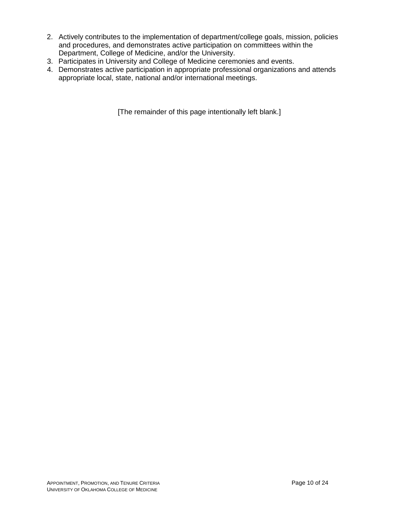- 2. Actively contributes to the implementation of department/college goals, mission, policies and procedures, and demonstrates active participation on committees within the Department, College of Medicine, and/or the University.
- 3. Participates in University and College of Medicine ceremonies and events.
- 4. Demonstrates active participation in appropriate professional organizations and attends appropriate local, state, national and/or international meetings.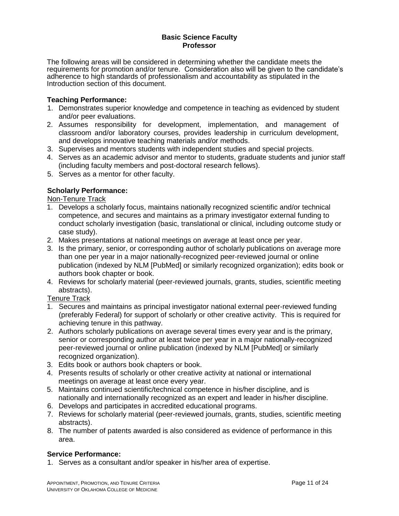#### **Basic Science Faculty Professor**

The following areas will be considered in determining whether the candidate meets the requirements for promotion and/or tenure. Consideration also will be given to the candidate's adherence to high standards of professionalism and accountability as stipulated in the Introduction section of this document.

## **Teaching Performance:**

- 1. Demonstrates superior knowledge and competence in teaching as evidenced by student and/or peer evaluations.
- 2. Assumes responsibility for development, implementation, and management of classroom and/or laboratory courses, provides leadership in curriculum development, and develops innovative teaching materials and/or methods.
- 3. Supervises and mentors students with independent studies and special projects.
- 4. Serves as an academic advisor and mentor to students, graduate students and junior staff (including faculty members and post-doctoral research fellows).
- 5. Serves as a mentor for other faculty.

# **Scholarly Performance:**

Non-Tenure Track

- 1. Develops a scholarly focus, maintains nationally recognized scientific and/or technical competence, and secures and maintains as a primary investigator external funding to conduct scholarly investigation (basic, translational or clinical, including outcome study or case study).
- 2. Makes presentations at national meetings on average at least once per year.
- 3. Is the primary, senior, or corresponding author of scholarly publications on average more than one per year in a major nationally-recognized peer-reviewed journal or online publication (indexed by NLM [PubMed] or similarly recognized organization); edits book or authors book chapter or book.
- 4. Reviews for scholarly material (peer-reviewed journals, grants, studies, scientific meeting abstracts).

## Tenure Track

- 1. Secures and maintains as principal investigator national external peer-reviewed funding (preferably Federal) for support of scholarly or other creative activity. This is required for achieving tenure in this pathway.
- 2. Authors scholarly publications on average several times every year and is the primary, senior or corresponding author at least twice per year in a major nationally-recognized peer-reviewed journal or online publication (indexed by NLM [PubMed] or similarly recognized organization).
- 3. Edits book or authors book chapters or book.
- 4. Presents results of scholarly or other creative activity at national or international meetings on average at least once every year.
- 5. Maintains continued scientific/technical competence in his/her discipline, and is nationally and internationally recognized as an expert and leader in his/her discipline.
- 6. Develops and participates in accredited educational programs.
- 7. Reviews for scholarly material (peer-reviewed journals, grants, studies, scientific meeting abstracts).
- 8. The number of patents awarded is also considered as evidence of performance in this area.

## **Service Performance:**

1. Serves as a consultant and/or speaker in his/her area of expertise.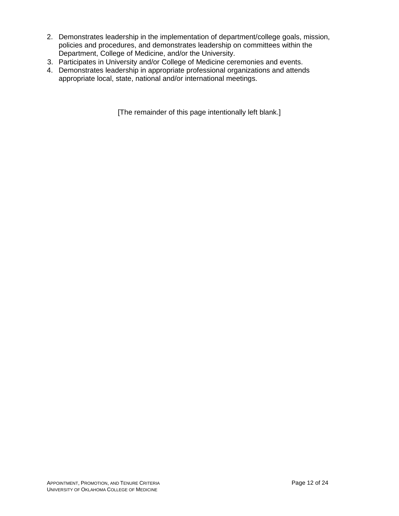- 2. Demonstrates leadership in the implementation of department/college goals, mission, policies and procedures, and demonstrates leadership on committees within the Department, College of Medicine, and/or the University.
- 3. Participates in University and/or College of Medicine ceremonies and events.
- 4. Demonstrates leadership in appropriate professional organizations and attends appropriate local, state, national and/or international meetings.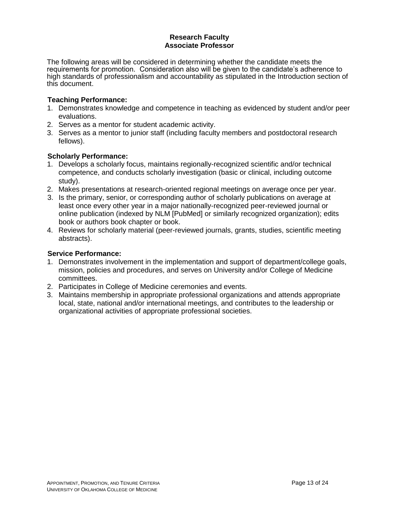#### **Research Faculty Associate Professor**

The following areas will be considered in determining whether the candidate meets the requirements for promotion. Consideration also will be given to the candidate's adherence to high standards of professionalism and accountability as stipulated in the Introduction section of this document.

#### **Teaching Performance:**

- 1. Demonstrates knowledge and competence in teaching as evidenced by student and/or peer evaluations.
- 2. Serves as a mentor for student academic activity.
- 3. Serves as a mentor to junior staff (including faculty members and postdoctoral research fellows).

#### **Scholarly Performance:**

- 1. Develops a scholarly focus, maintains regionally-recognized scientific and/or technical competence, and conducts scholarly investigation (basic or clinical, including outcome study).
- 2. Makes presentations at research-oriented regional meetings on average once per year.
- 3. Is the primary, senior, or corresponding author of scholarly publications on average at least once every other year in a major nationally-recognized peer-reviewed journal or online publication (indexed by NLM [PubMed] or similarly recognized organization); edits book or authors book chapter or book.
- 4. Reviews for scholarly material (peer-reviewed journals, grants, studies, scientific meeting abstracts).

- 1. Demonstrates involvement in the implementation and support of department/college goals, mission, policies and procedures, and serves on University and/or College of Medicine committees.
- 2. Participates in College of Medicine ceremonies and events.
- 3. Maintains membership in appropriate professional organizations and attends appropriate local, state, national and/or international meetings, and contributes to the leadership or organizational activities of appropriate professional societies.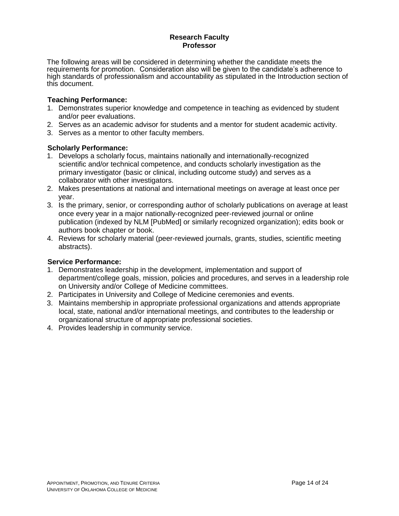#### **Research Faculty Professor**

The following areas will be considered in determining whether the candidate meets the requirements for promotion. Consideration also will be given to the candidate's adherence to high standards of professionalism and accountability as stipulated in the Introduction section of this document.

#### **Teaching Performance:**

- 1. Demonstrates superior knowledge and competence in teaching as evidenced by student and/or peer evaluations.
- 2. Serves as an academic advisor for students and a mentor for student academic activity.
- 3. Serves as a mentor to other faculty members.

#### **Scholarly Performance:**

- 1. Develops a scholarly focus, maintains nationally and internationally-recognized scientific and/or technical competence, and conducts scholarly investigation as the primary investigator (basic or clinical, including outcome study) and serves as a collaborator with other investigators.
- 2. Makes presentations at national and international meetings on average at least once per year.
- 3. Is the primary, senior, or corresponding author of scholarly publications on average at least once every year in a major nationally-recognized peer-reviewed journal or online publication (indexed by NLM [PubMed] or similarly recognized organization); edits book or authors book chapter or book.
- 4. Reviews for scholarly material (peer-reviewed journals, grants, studies, scientific meeting abstracts).

- 1. Demonstrates leadership in the development, implementation and support of department/college goals, mission, policies and procedures, and serves in a leadership role on University and/or College of Medicine committees.
- 2. Participates in University and College of Medicine ceremonies and events.
- 3. Maintains membership in appropriate professional organizations and attends appropriate local, state, national and/or international meetings, and contributes to the leadership or organizational structure of appropriate professional societies.
- 4. Provides leadership in community service.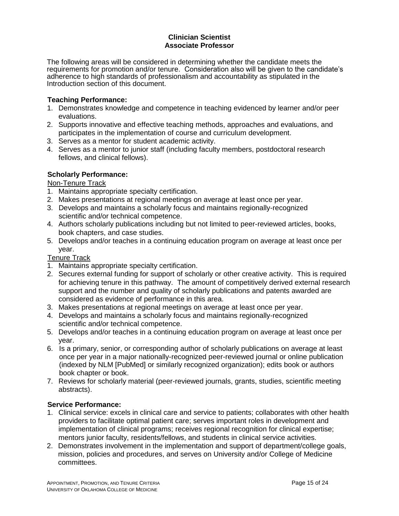#### **Clinician Scientist Associate Professor**

The following areas will be considered in determining whether the candidate meets the requirements for promotion and/or tenure. Consideration also will be given to the candidate's adherence to high standards of professionalism and accountability as stipulated in the Introduction section of this document.

## **Teaching Performance:**

- 1. Demonstrates knowledge and competence in teaching evidenced by learner and/or peer evaluations.
- 2. Supports innovative and effective teaching methods, approaches and evaluations, and participates in the implementation of course and curriculum development.
- 3. Serves as a mentor for student academic activity.
- 4. Serves as a mentor to junior staff (including faculty members, postdoctoral research fellows, and clinical fellows).

## **Scholarly Performance:**

Non-Tenure Track

- 1. Maintains appropriate specialty certification.
- 2. Makes presentations at regional meetings on average at least once per year.
- 3. Develops and maintains a scholarly focus and maintains regionally-recognized scientific and/or technical competence.
- 4. Authors scholarly publications including but not limited to peer-reviewed articles, books, book chapters, and case studies.
- 5. Develops and/or teaches in a continuing education program on average at least once per year.

#### Tenure Track

- 1. Maintains appropriate specialty certification.
- 2. Secures external funding for support of scholarly or other creative activity. This is required for achieving tenure in this pathway. The amount of competitively derived external research support and the number and quality of scholarly publications and patents awarded are considered as evidence of performance in this area.
- 3. Makes presentations at regional meetings on average at least once per year.
- 4. Develops and maintains a scholarly focus and maintains regionally-recognized scientific and/or technical competence.
- 5. Develops and/or teaches in a continuing education program on average at least once per year.
- 6. Is a primary, senior, or corresponding author of scholarly publications on average at least once per year in a major nationally-recognized peer-reviewed journal or online publication (indexed by NLM [PubMed] or similarly recognized organization); edits book or authors book chapter or book.
- 7. Reviews for scholarly material (peer-reviewed journals, grants, studies, scientific meeting abstracts).

- 1. Clinical service: excels in clinical care and service to patients; collaborates with other health providers to facilitate optimal patient care; serves important roles in development and implementation of clinical programs; receives regional recognition for clinical expertise; mentors junior faculty, residents/fellows, and students in clinical service activities.
- 2. Demonstrates involvement in the implementation and support of department/college goals, mission, policies and procedures, and serves on University and/or College of Medicine committees.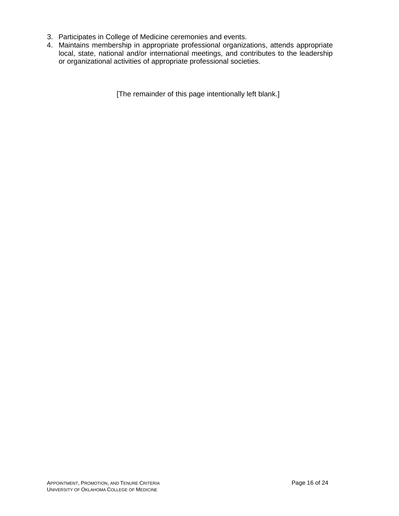- 3. Participates in College of Medicine ceremonies and events.
- 4. Maintains membership in appropriate professional organizations, attends appropriate local, state, national and/or international meetings, and contributes to the leadership or organizational activities of appropriate professional societies.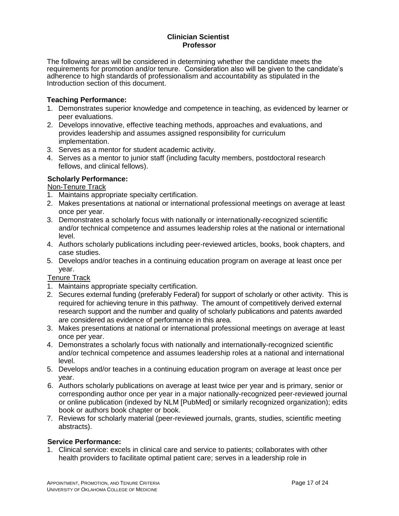## **Clinician Scientist Professor**

The following areas will be considered in determining whether the candidate meets the requirements for promotion and/or tenure. Consideration also will be given to the candidate's adherence to high standards of professionalism and accountability as stipulated in the Introduction section of this document.

## **Teaching Performance:**

- 1. Demonstrates superior knowledge and competence in teaching, as evidenced by learner or peer evaluations.
- 2. Develops innovative, effective teaching methods, approaches and evaluations, and provides leadership and assumes assigned responsibility for curriculum implementation.
- 3. Serves as a mentor for student academic activity.
- 4. Serves as a mentor to junior staff (including faculty members, postdoctoral research fellows, and clinical fellows).

## **Scholarly Performance:**

Non-Tenure Track

- 1. Maintains appropriate specialty certification.
- 2. Makes presentations at national or international professional meetings on average at least once per year.
- 3. Demonstrates a scholarly focus with nationally or internationally-recognized scientific and/or technical competence and assumes leadership roles at the national or international level.
- 4. Authors scholarly publications including peer-reviewed articles, books, book chapters, and case studies.
- 5. Develops and/or teaches in a continuing education program on average at least once per year.

## Tenure Track

- 1. Maintains appropriate specialty certification.
- 2. Secures external funding (preferably Federal) for support of scholarly or other activity. This is required for achieving tenure in this pathway. The amount of competitively derived external research support and the number and quality of scholarly publications and patents awarded are considered as evidence of performance in this area.
- 3. Makes presentations at national or international professional meetings on average at least once per year.
- 4. Demonstrates a scholarly focus with nationally and internationally-recognized scientific and/or technical competence and assumes leadership roles at a national and international level.
- 5. Develops and/or teaches in a continuing education program on average at least once per year.
- 6. Authors scholarly publications on average at least twice per year and is primary, senior or corresponding author once per year in a major nationally-recognized peer-reviewed journal or online publication (indexed by NLM [PubMed] or similarly recognized organization); edits book or authors book chapter or book.
- 7. Reviews for scholarly material (peer-reviewed journals, grants, studies, scientific meeting abstracts).

#### **Service Performance:**

1. Clinical service: excels in clinical care and service to patients; collaborates with other health providers to facilitate optimal patient care; serves in a leadership role in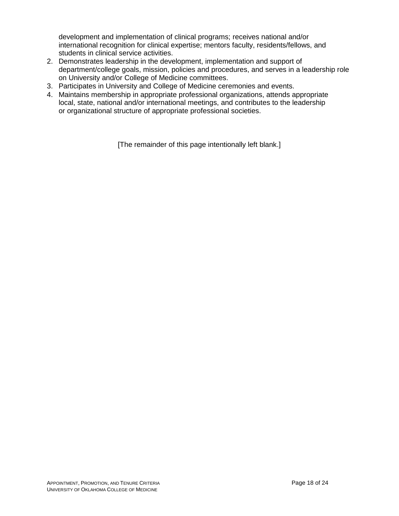development and implementation of clinical programs; receives national and/or international recognition for clinical expertise; mentors faculty, residents/fellows, and students in clinical service activities.

- 2. Demonstrates leadership in the development, implementation and support of department/college goals, mission, policies and procedures, and serves in a leadership role on University and/or College of Medicine committees.
- 3. Participates in University and College of Medicine ceremonies and events.
- 4. Maintains membership in appropriate professional organizations, attends appropriate local, state, national and/or international meetings, and contributes to the leadership or organizational structure of appropriate professional societies.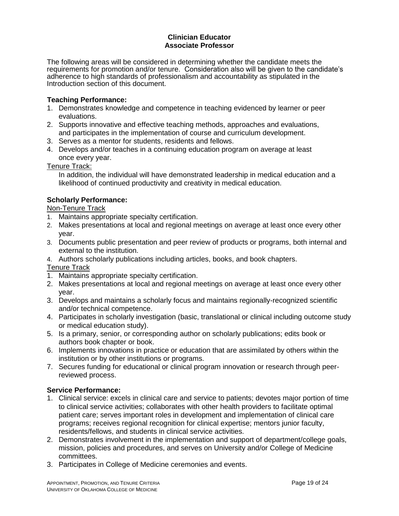#### **Clinician Educator Associate Professor**

The following areas will be considered in determining whether the candidate meets the requirements for promotion and/or tenure. Consideration also will be given to the candidate's adherence to high standards of professionalism and accountability as stipulated in the Introduction section of this document.

#### **Teaching Performance:**

- 1. Demonstrates knowledge and competence in teaching evidenced by learner or peer evaluations.
- 2. Supports innovative and effective teaching methods, approaches and evaluations, and participates in the implementation of course and curriculum development.
- 3. Serves as a mentor for students, residents and fellows.
- 4. Develops and/or teaches in a continuing education program on average at least once every year.

#### Tenure Track:

In addition, the individual will have demonstrated leadership in medical education and a likelihood of continued productivity and creativity in medical education.

## **Scholarly Performance:**

#### Non-Tenure Track

- 1. Maintains appropriate specialty certification.
- 2. Makes presentations at local and regional meetings on average at least once every other year.
- 3. Documents public presentation and peer review of products or programs, both internal and external to the institution.
- 4. Authors scholarly publications including articles, books, and book chapters.

## Tenure Track

- 1. Maintains appropriate specialty certification.
- 2. Makes presentations at local and regional meetings on average at least once every other year.
- 3. Develops and maintains a scholarly focus and maintains regionally-recognized scientific and/or technical competence.
- 4. Participates in scholarly investigation (basic, translational or clinical including outcome study or medical education study).
- 5. Is a primary, senior, or corresponding author on scholarly publications; edits book or authors book chapter or book.
- 6. Implements innovations in practice or education that are assimilated by others within the institution or by other institutions or programs.
- 7. Secures funding for educational or clinical program innovation or research through peerreviewed process.

- 1. Clinical service: excels in clinical care and service to patients; devotes major portion of time to clinical service activities; collaborates with other health providers to facilitate optimal patient care; serves important roles in development and implementation of clinical care programs; receives regional recognition for clinical expertise; mentors junior faculty, residents/fellows, and students in clinical service activities.
- 2. Demonstrates involvement in the implementation and support of department/college goals, mission, policies and procedures, and serves on University and/or College of Medicine committees.
- 3. Participates in College of Medicine ceremonies and events.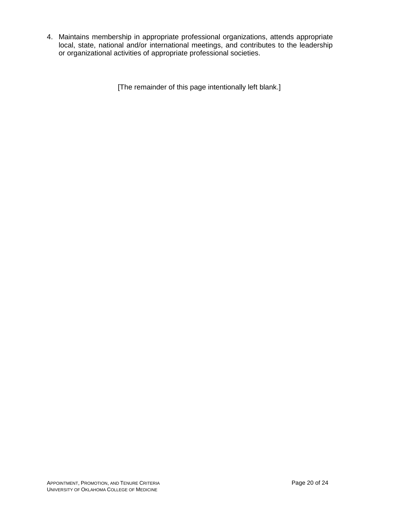4. Maintains membership in appropriate professional organizations, attends appropriate local, state, national and/or international meetings, and contributes to the leadership or organizational activities of appropriate professional societies.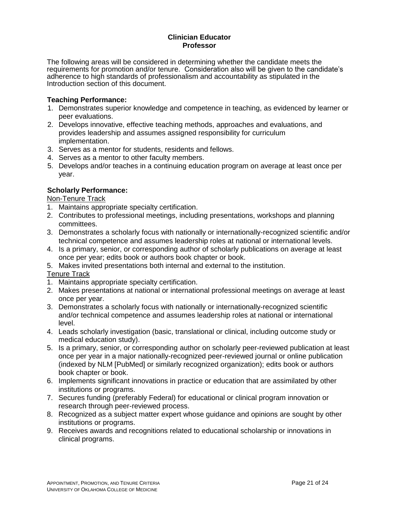#### **Clinician Educator Professor**

The following areas will be considered in determining whether the candidate meets the requirements for promotion and/or tenure. Consideration also will be given to the candidate's adherence to high standards of professionalism and accountability as stipulated in the Introduction section of this document.

## **Teaching Performance:**

- 1. Demonstrates superior knowledge and competence in teaching, as evidenced by learner or peer evaluations.
- 2. Develops innovative, effective teaching methods, approaches and evaluations, and provides leadership and assumes assigned responsibility for curriculum implementation.
- 3. Serves as a mentor for students, residents and fellows.
- 4. Serves as a mentor to other faculty members.
- 5. Develops and/or teaches in a continuing education program on average at least once per year.

# **Scholarly Performance:**

## Non-Tenure Track

- 1. Maintains appropriate specialty certification.
- 2. Contributes to professional meetings, including presentations, workshops and planning committees.
- 3. Demonstrates a scholarly focus with nationally or internationally-recognized scientific and/or technical competence and assumes leadership roles at national or international levels.
- 4. Is a primary, senior, or corresponding author of scholarly publications on average at least once per year; edits book or authors book chapter or book.
- 5. Makes invited presentations both internal and external to the institution.

# Tenure Track

- 1. Maintains appropriate specialty certification.
- 2. Makes presentations at national or international professional meetings on average at least once per year.
- 3. Demonstrates a scholarly focus with nationally or internationally-recognized scientific and/or technical competence and assumes leadership roles at national or international level.
- 4. Leads scholarly investigation (basic, translational or clinical, including outcome study or medical education study).
- 5. Is a primary, senior, or corresponding author on scholarly peer-reviewed publication at least once per year in a major nationally-recognized peer-reviewed journal or online publication (indexed by NLM [PubMed] or similarly recognized organization); edits book or authors book chapter or book.
- 6. Implements significant innovations in practice or education that are assimilated by other institutions or programs.
- 7. Secures funding (preferably Federal) for educational or clinical program innovation or research through peer-reviewed process.
- 8. Recognized as a subject matter expert whose guidance and opinions are sought by other institutions or programs.
- 9. Receives awards and recognitions related to educational scholarship or innovations in clinical programs.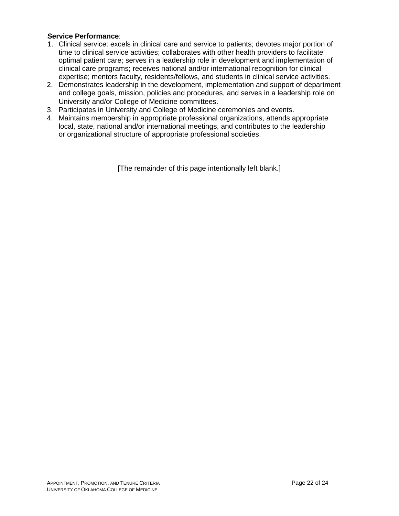#### **Service Performance**:

- 1. Clinical service: excels in clinical care and service to patients; devotes major portion of time to clinical service activities; collaborates with other health providers to facilitate optimal patient care; serves in a leadership role in development and implementation of clinical care programs; receives national and/or international recognition for clinical expertise; mentors faculty, residents/fellows, and students in clinical service activities.
- 2. Demonstrates leadership in the development, implementation and support of department and college goals, mission, policies and procedures, and serves in a leadership role on University and/or College of Medicine committees.
- 3. Participates in University and College of Medicine ceremonies and events.
- 4. Maintains membership in appropriate professional organizations, attends appropriate local, state, national and/or international meetings, and contributes to the leadership or organizational structure of appropriate professional societies.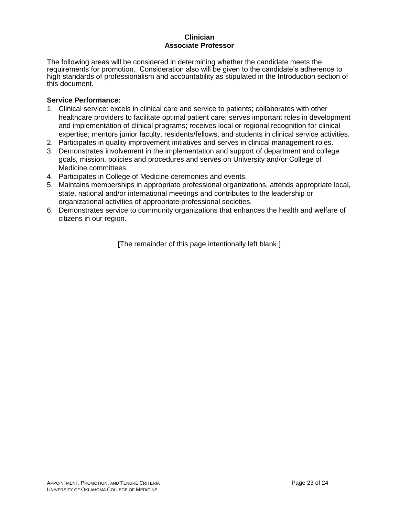## **Clinician Associate Professor**

The following areas will be considered in determining whether the candidate meets the requirements for promotion. Consideration also will be given to the candidate's adherence to high standards of professionalism and accountability as stipulated in the Introduction section of this document.

#### **Service Performance:**

- 1. Clinical service: excels in clinical care and service to patients; collaborates with other healthcare providers to facilitate optimal patient care; serves important roles in development and implementation of clinical programs; receives local or regional recognition for clinical expertise; mentors junior faculty, residents/fellows, and students in clinical service activities.
- 2. Participates in quality improvement initiatives and serves in clinical management roles.
- 3. Demonstrates involvement in the implementation and support of department and college goals, mission, policies and procedures and serves on University and/or College of Medicine committees.
- 4. Participates in College of Medicine ceremonies and events.
- 5. Maintains memberships in appropriate professional organizations, attends appropriate local, state, national and/or international meetings and contributes to the leadership or organizational activities of appropriate professional societies.
- 6. Demonstrates service to community organizations that enhances the health and welfare of citizens in our region.